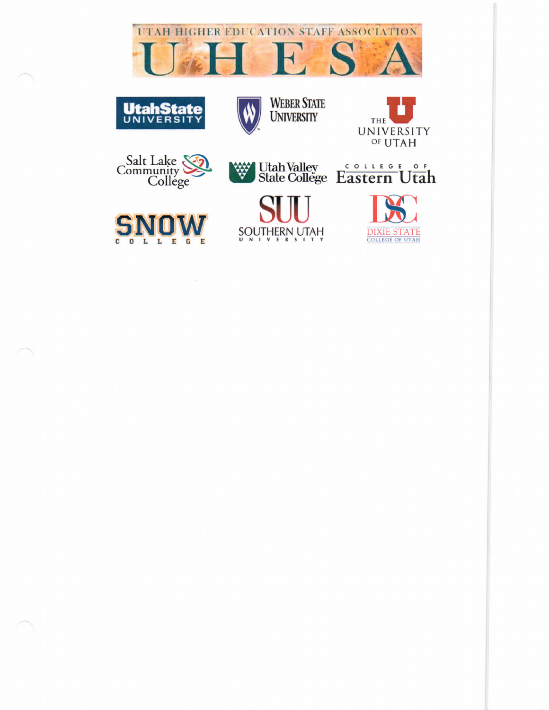